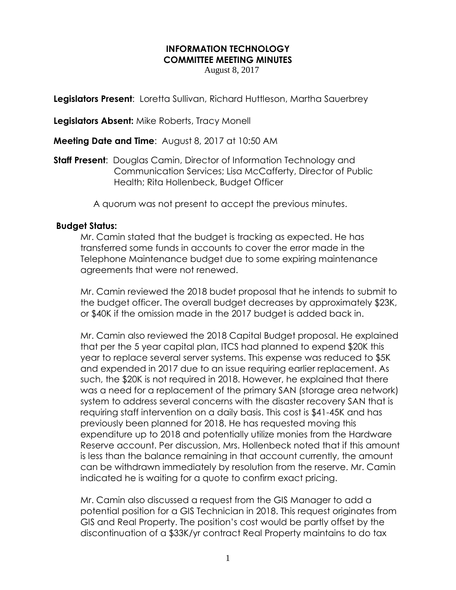## **INFORMATION TECHNOLOGY COMMITTEE MEETING MINUTES**

August 8, 2017

**Legislators Present:** Loretta Sullivan, Richard Huttleson, Martha Sauerbrey

**Legislators Absent:** Mike Roberts, Tracy Monell

**Meeting Date and Time**: August 8, 2017 at 10:50 AM

**Staff Present**: Douglas Camin, Director of Information Technology and Communication Services; Lisa McCafferty, Director of Public Health; Rita Hollenbeck, Budget Officer

A quorum was not present to accept the previous minutes.

## **Budget Status:**

Mr. Camin stated that the budget is tracking as expected. He has transferred some funds in accounts to cover the error made in the Telephone Maintenance budget due to some expiring maintenance agreements that were not renewed.

Mr. Camin reviewed the 2018 budet proposal that he intends to submit to the budget officer. The overall budget decreases by approximately \$23K, or \$40K if the omission made in the 2017 budget is added back in.

Mr. Camin also reviewed the 2018 Capital Budget proposal. He explained that per the 5 year capital plan, ITCS had planned to expend \$20K this year to replace several server systems. This expense was reduced to \$5K and expended in 2017 due to an issue requiring earlier replacement. As such, the \$20K is not required in 2018. However, he explained that there was a need for a replacement of the primary SAN (storage area network) system to address several concerns with the disaster recovery SAN that is requiring staff intervention on a daily basis. This cost is \$41-45K and has previously been planned for 2018. He has requested moving this expenditure up to 2018 and potentially utilize monies from the Hardware Reserve account. Per discussion, Mrs. Hollenbeck noted that if this amount is less than the balance remaining in that account currently, the amount can be withdrawn immediately by resolution from the reserve. Mr. Camin indicated he is waiting for a quote to confirm exact pricing.

Mr. Camin also discussed a request from the GIS Manager to add a potential position for a GIS Technician in 2018. This request originates from GIS and Real Property. The position's cost would be partly offset by the discontinuation of a \$33K/yr contract Real Property maintains to do tax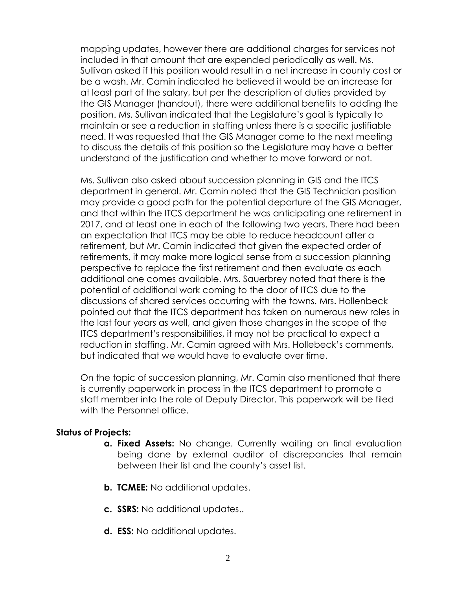mapping updates, however there are additional charges for services not included in that amount that are expended periodically as well. Ms. Sullivan asked if this position would result in a net increase in county cost or be a wash. Mr. Camin indicated he believed it would be an increase for at least part of the salary, but per the description of duties provided by the GIS Manager (handout), there were additional benefits to adding the position. Ms. Sullivan indicated that the Legislature's goal is typically to maintain or see a reduction in staffing unless there is a specific justifiable need. It was requested that the GIS Manager come to the next meeting to discuss the details of this position so the Legislature may have a better understand of the justification and whether to move forward or not.

Ms. Sullivan also asked about succession planning in GIS and the ITCS department in general. Mr. Camin noted that the GIS Technician position may provide a good path for the potential departure of the GIS Manager, and that within the ITCS department he was anticipating one retirement in 2017, and at least one in each of the following two years. There had been an expectation that ITCS may be able to reduce headcount after a retirement, but Mr. Camin indicated that given the expected order of retirements, it may make more logical sense from a succession planning perspective to replace the first retirement and then evaluate as each additional one comes available. Mrs. Sauerbrey noted that there is the potential of additional work coming to the door of ITCS due to the discussions of shared services occurring with the towns. Mrs. Hollenbeck pointed out that the ITCS department has taken on numerous new roles in the last four years as well, and given those changes in the scope of the ITCS department's responsibilities, it may not be practical to expect a reduction in staffing. Mr. Camin agreed with Mrs. Hollebeck's comments, but indicated that we would have to evaluate over time.

On the topic of succession planning, Mr. Camin also mentioned that there is currently paperwork in process in the ITCS department to promote a staff member into the role of Deputy Director. This paperwork will be filed with the Personnel office.

## **Status of Projects:**

- **a. Fixed Assets:** No change. Currently waiting on final evaluation being done by external auditor of discrepancies that remain between their list and the county's asset list.
- **b. TCMEE:** No additional updates.
- **c. SSRS:** No additional updates..
- **d. ESS:** No additional updates.